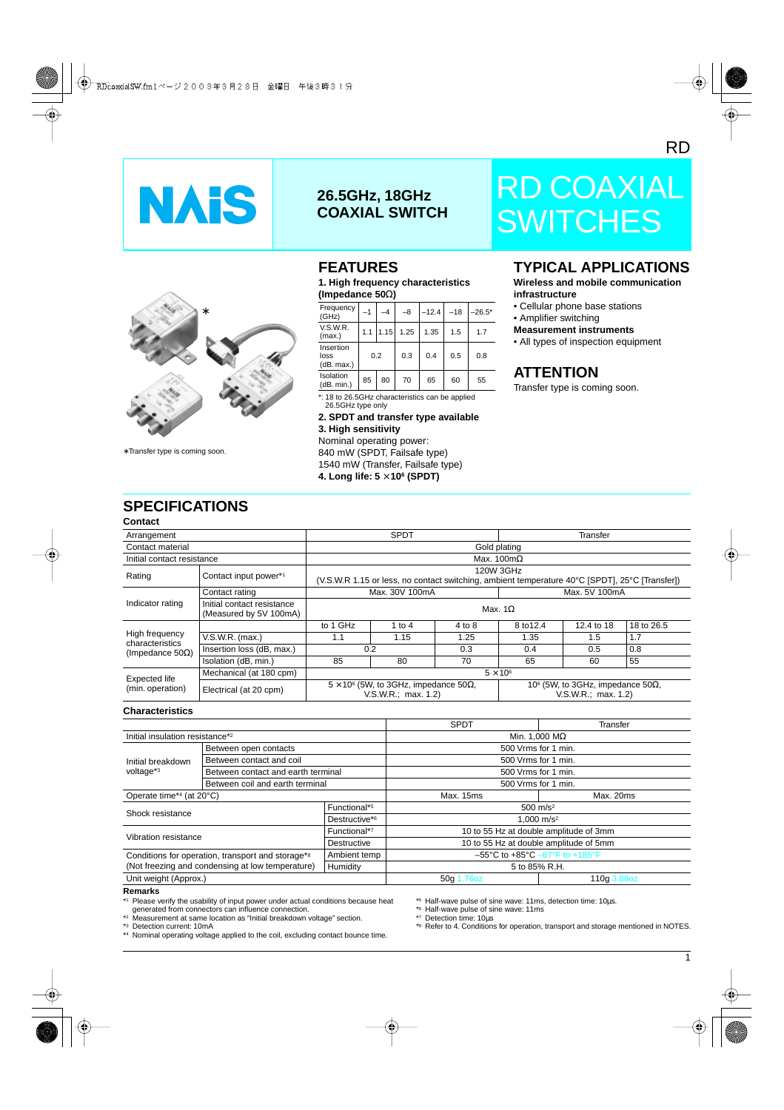



∗ Transfer type is coming soon.

### **26.5GHz, 18GHz COAXIAL SWITCH**

### **FEATURES**

**1. High frequency characteristics (Impedance 50**Ω**)**

| Frequency<br>(GHz)              | $-1$ | -4   | -8   | $-12.4$ | $-18$ | $-26.5*$ |
|---------------------------------|------|------|------|---------|-------|----------|
| V.S.W.R.<br>(max.)              | 1.1  | 1.15 | 1.25 | 1.35    | 1.5   | 17       |
| Insertion<br>loss<br>(dB. max.) | 0.2  |      | 0.3  | 0.4     | 0.5   | 0.8      |
| Isolation<br>(dB. min.)         | 85   | 80   | 70   | 65      | 60    | 55       |

\*: 18 to 26.5GHz characteristics can be applied 26.5GHz type only

**2. SPDT and transfer type available 3. High sensitivity**

Nominal operating power: 840 mW (SPDT, Failsafe type) 1540 mW (Transfer, Failsafe type) **4. Long life: 5** × **106 (SPDT)**

# RD COAXIAL **SWITCHES**

### **TYPICAL APPLICATIONS**

**Wireless and mobile communication infrastructure**

- Cellular phone base stations
- Amplifier switching

#### **Measurement instruments**

• All types of inspection equipment

### **ATTENTION**

Transfer type is coming soon.

### **SPECIFICATIONS**

| Contact                                     |                                                      |                                                                              |                                                                                                             |        |                                                                               |            |            |  |
|---------------------------------------------|------------------------------------------------------|------------------------------------------------------------------------------|-------------------------------------------------------------------------------------------------------------|--------|-------------------------------------------------------------------------------|------------|------------|--|
| Arrangement                                 |                                                      | <b>SPDT</b>                                                                  |                                                                                                             |        | Transfer                                                                      |            |            |  |
| Contact material                            | Gold plating                                         |                                                                              |                                                                                                             |        |                                                                               |            |            |  |
| Initial contact resistance                  |                                                      |                                                                              |                                                                                                             |        | Max. $100 \text{m}\Omega$                                                     |            |            |  |
| Rating                                      | Contact input power*1                                |                                                                              | 120W 3GHz<br>(V.S.W.R 1.15 or less, no contact switching, ambient temperature 40°C [SPDT], 25°C [Transfer]) |        |                                                                               |            |            |  |
|                                             | Contact rating                                       |                                                                              | Max. 30V 100mA                                                                                              |        | Max. 5V 100mA                                                                 |            |            |  |
| Indicator rating                            | Initial contact resistance<br>(Measured by 5V 100mA) | Max. $1\Omega$                                                               |                                                                                                             |        |                                                                               |            |            |  |
|                                             |                                                      | to 1 GHz                                                                     | 1 to 4                                                                                                      | 4 to 8 | 8 to 12.4                                                                     | 12.4 to 18 | 18 to 26.5 |  |
| High frequency                              | $V.S.W.R.$ (max.)                                    | 1.1                                                                          | 1.15                                                                                                        | 1.25   | 1.35                                                                          | 1.5        | 1.7        |  |
| characteristics<br>(Impedance 50 $\Omega$ ) | Insertion loss (dB, max.)                            | 0.2                                                                          |                                                                                                             | 0.3    | 0.4                                                                           | 0.5        | 0.8        |  |
|                                             | Isolation (dB, min.)                                 | 85                                                                           | 80                                                                                                          | 70     | 65                                                                            | 60         | 55         |  |
|                                             | Mechanical (at 180 cpm)                              |                                                                              |                                                                                                             |        | $5 \times 10^6$                                                               |            |            |  |
| Expected life<br>(min. operation)           | Electrical (at 20 cpm)                               | $5 \times 10^6$ (5W, to 3GHz, impedance 50 $\Omega$ ,<br>V.S.W.R.; max. 1.2) |                                                                                                             |        | 10 $\textdegree$ (5W, to 3GHz, impedance 50 $\Omega$ ,<br>V.S.W.R.; max. 1.2) |            |            |  |

#### **Characteristics**

|                                                               |                                    |                           | <b>SPDT</b>                                                            | <b>Transfer</b> |  |  |
|---------------------------------------------------------------|------------------------------------|---------------------------|------------------------------------------------------------------------|-----------------|--|--|
| Initial insulation resistance*2                               |                                    |                           | Min. 1,000 $M\Omega$                                                   |                 |  |  |
|                                                               |                                    |                           |                                                                        |                 |  |  |
|                                                               | Between open contacts              |                           | 500 Vrms for 1 min.                                                    |                 |  |  |
| Initial breakdown                                             | Between contact and coil           |                           | 500 Vrms for 1 min.                                                    |                 |  |  |
| voltage*3                                                     | Between contact and earth terminal |                           | 500 Vrms for 1 min.                                                    |                 |  |  |
|                                                               | Between coil and earth terminal    |                           | 500 Vrms for 1 min.                                                    |                 |  |  |
| Operate time*4 (at 20°C)                                      |                                    | Max. 15ms                 | Max. 20ms                                                              |                 |  |  |
| Shock resistance                                              |                                    | Functional*5              | $500 \text{ m/s}^2$                                                    |                 |  |  |
|                                                               |                                    | Destructive* <sup>6</sup> | 1.000 $m/s^2$                                                          |                 |  |  |
| Functional*7<br>Vibration resistance<br>Destructive           |                                    |                           | 10 to 55 Hz at double amplitude of 3mm                                 |                 |  |  |
|                                                               |                                    |                           | 10 to 55 Hz at double amplitude of 5mm                                 |                 |  |  |
| Conditions for operation, transport and storage* <sup>8</sup> |                                    | Ambient temp              | $-55^{\circ}$ C to $+85^{\circ}$ C $-67^{\circ}$ F to $+185^{\circ}$ F |                 |  |  |
| (Not freezing and condensing at low temperature)              |                                    | Humidity                  | 5 to 85% R.H.                                                          |                 |  |  |
| Unit weight (Approx.)                                         |                                    | 50g 1.76oz                | 110g 3.88oz                                                            |                 |  |  |

#### **Remarks**

Please verify the usability of input power under actual conditions because heat generated from connectors can influence connection.

\*2 Measurement at same location as "Initial breakdown voltage" section.

\*3 Detection current: 10mA

\*4 Nominal operating voltage applied to the coil, excluding contact bounce time.

\*5 Half-wave pulse of sine wave: 11ms, detection time: 10µs.

\*6 Half-wave pulse of sine wave: 11ms

\*7 Detection time: 10µs

\*8 Refer to 4. Conditions for operation, transport and storage mentioned in NOTES.

 $\overline{1}$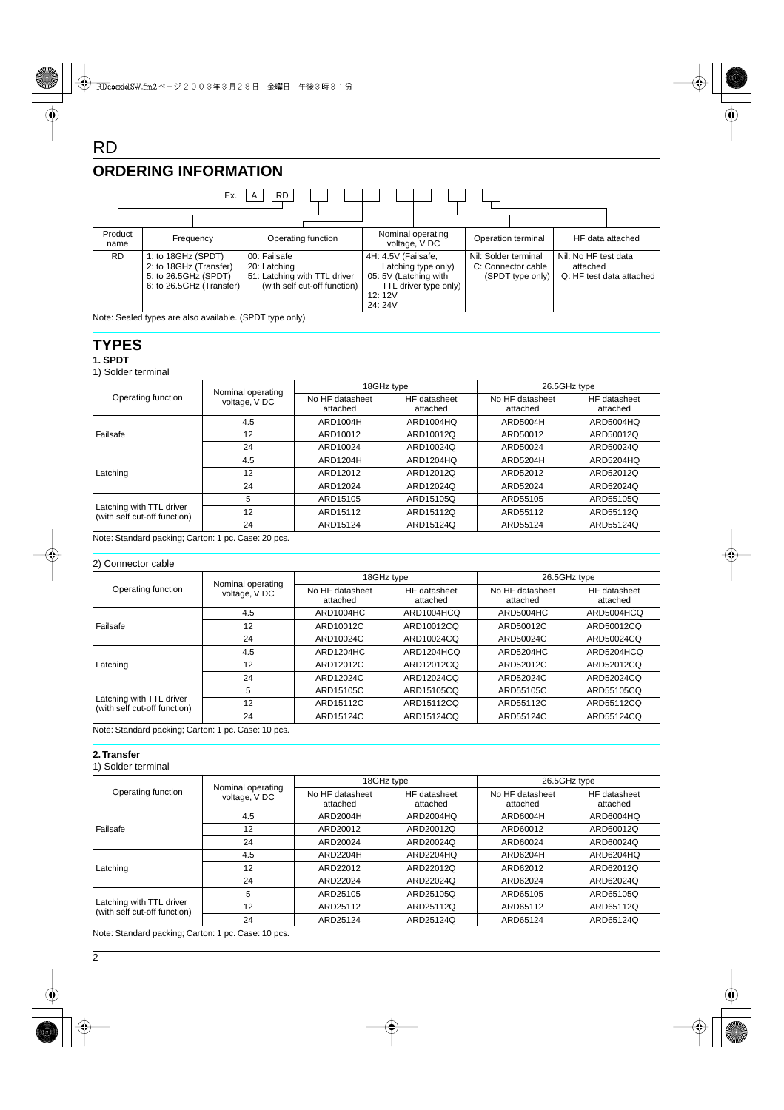### **ORDERING INFORMATION**



#### **TYPES**

RD

#### **1. SPDT**

1) Solder terminal

| Operating function                                       |                                    |                             | 18GHz type               | 26.5GHz type                |                          |  |
|----------------------------------------------------------|------------------------------------|-----------------------------|--------------------------|-----------------------------|--------------------------|--|
|                                                          | Nominal operating<br>voltage, V DC | No HF datasheet<br>attached | HF datasheet<br>attached | No HF datasheet<br>attached | HF datasheet<br>attached |  |
|                                                          | 4.5                                | ARD1004H                    | ARD1004HQ                | ARD5004H                    | ARD5004HQ                |  |
| Failsafe                                                 | 12                                 | ARD10012                    | ARD10012Q                | ARD50012                    | ARD50012Q                |  |
|                                                          | 24                                 | ARD10024                    | ARD10024Q                | ARD50024                    | ARD50024Q                |  |
|                                                          | 4.5                                | ARD1204H                    | ARD1204HQ                | ARD5204H                    | <b>ARD5204HQ</b>         |  |
| Latching                                                 | 12                                 | ARD12012                    | ARD12012Q                | ARD52012                    | ARD52012Q                |  |
|                                                          | 24                                 | ARD12024                    | ARD12024Q                | ARD52024                    | ARD52024Q                |  |
| Latching with TTL driver<br>(with self cut-off function) | 5                                  | ARD15105                    | ARD15105Q                | ARD55105                    | ARD55105Q                |  |
|                                                          | 12                                 | ARD15112                    | ARD15112Q                | ARD55112                    | ARD55112Q                |  |
|                                                          | 24                                 | ARD15124                    | ARD15124Q                | ARD55124                    | ARD55124Q                |  |

Note: Standard packing; Carton: 1 pc. Case: 20 pcs.

#### 2) Connector cable

| Operating function                                       |                                    |                             | 18GHz type               | 26.5GHz type                |                          |  |
|----------------------------------------------------------|------------------------------------|-----------------------------|--------------------------|-----------------------------|--------------------------|--|
|                                                          | Nominal operating<br>voltage, V DC | No HF datasheet<br>attached | HF datasheet<br>attached | No HF datasheet<br>attached | HF datasheet<br>attached |  |
|                                                          | 4.5                                | ARD1004HC                   | ARD1004HCQ               | ARD5004HC                   | ARD5004HCQ               |  |
| Failsafe                                                 | 12                                 | ARD10012C                   | ARD10012CQ               | ARD50012C                   | ARD50012CQ               |  |
|                                                          | 24                                 | ARD10024C                   | ARD10024CQ               | ARD50024C                   | ARD50024CQ               |  |
|                                                          | 4.5                                | ARD1204HC                   | ARD1204HCQ               | ARD5204HC                   | ARD5204HCQ               |  |
| Latching                                                 | 12                                 | ARD12012C                   | ARD12012CQ               | ARD52012C                   | ARD52012CQ               |  |
|                                                          | 24                                 | ARD12024C                   | ARD12024CQ               | ARD52024C                   | ARD52024CQ               |  |
| Latching with TTL driver<br>(with self cut-off function) | 5                                  | ARD15105C                   | ARD15105CQ               | ARD55105C                   | ARD55105CQ               |  |
|                                                          | 12                                 | ARD15112C                   | ARD15112CQ               | ARD55112C                   | ARD55112CQ               |  |
|                                                          | 24                                 | ARD15124C                   | ARD15124CQ               | ARD55124C                   | ARD55124CQ               |  |

Note: Standard packing; Carton: 1 pc. Case: 10 pcs.

#### **2. Transfer**

1) Solder terminal

| Operating function                                       | Nominal operating | 18GHz type                  |                          | 26.5GHz type                |                          |  |
|----------------------------------------------------------|-------------------|-----------------------------|--------------------------|-----------------------------|--------------------------|--|
|                                                          | voltage, V DC     | No HF datasheet<br>attached | HF datasheet<br>attached | No HF datasheet<br>attached | HF datasheet<br>attached |  |
|                                                          | 4.5               | ARD2004H                    | ARD2004HQ                | ARD6004H                    | ARD6004HQ                |  |
| Failsafe                                                 | 12                | ARD20012                    | ARD20012Q                | ARD60012                    | ARD60012Q                |  |
|                                                          | 24                | ARD20024                    | ARD20024Q                | ARD60024                    | ARD60024Q                |  |
|                                                          | 4.5               | ARD2204H                    | ARD2204HQ                | ARD6204H                    | ARD6204HQ                |  |
| Latching                                                 | 12                | ARD22012                    | ARD22012Q                | ARD62012                    | ARD62012Q                |  |
|                                                          | 24                | ARD22024                    | ARD22024Q                | ARD62024                    | ARD62024Q                |  |
|                                                          | 5                 | ARD25105                    | ARD25105Q                | ARD65105                    | ARD65105Q                |  |
| Latching with TTL driver<br>(with self cut-off function) | 12                | ARD25112                    | ARD25112Q                | ARD65112                    | ARD65112Q                |  |
|                                                          | 24                | ARD25124                    | ARD25124Q                | ARD65124                    | ARD65124Q                |  |

Note: Standard packing; Carton: 1 pc. Case: 10 pcs.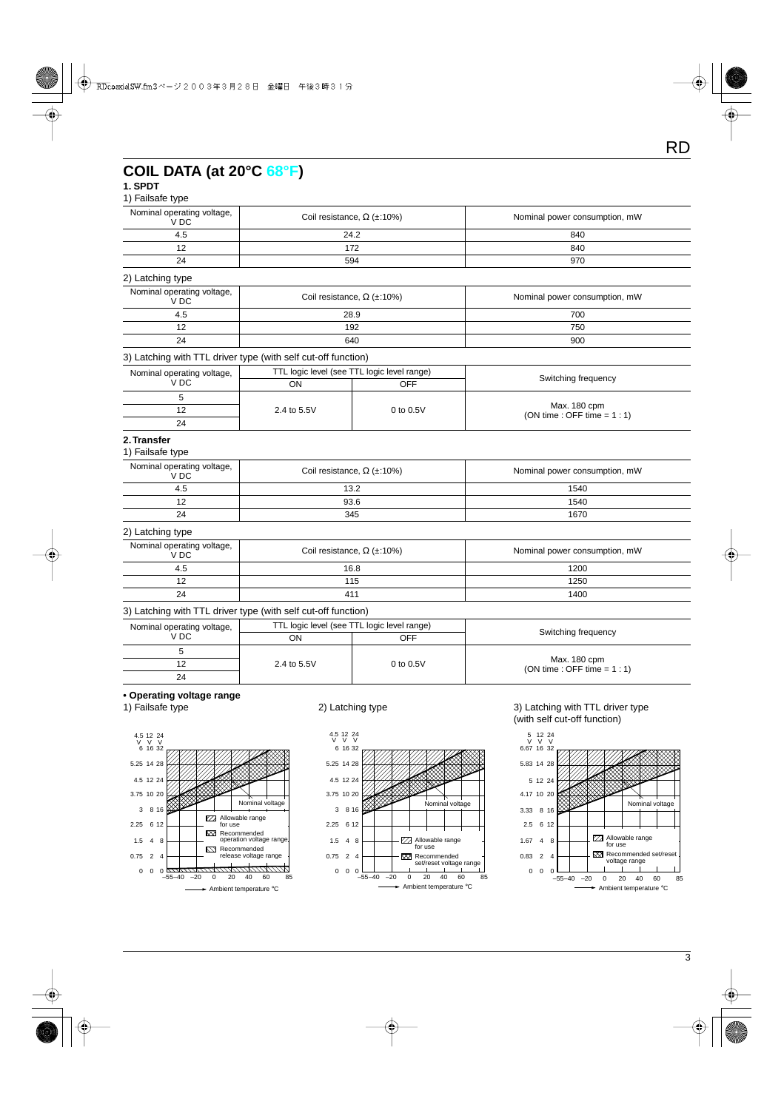### **COIL DATA (at 20°C 68°F)**

#### **1. SPDT**

#### 1) Failsafe type

| Nominal operating voltage,<br>V DC            | Coil resistance, $\Omega$ (±:10%) | Nominal power consumption, mW |  |  |
|-----------------------------------------------|-----------------------------------|-------------------------------|--|--|
| 4.5                                           | 24.2                              | 840                           |  |  |
| 12                                            | 172                               | 840                           |  |  |
| 24<br>594                                     |                                   | 970                           |  |  |
| 2) Latching type                              |                                   |                               |  |  |
| Nominal operating voltage,<br>V <sub>DC</sub> | Coil resistance, $\Omega$ (±:10%) | Nominal power consumption, mW |  |  |
| 4.5                                           | 28.9                              | 700                           |  |  |

#### 3) Latching with TTL driver type (with self cut-off function)

| Nominal operating voltage, | TTL logic level (see TTL logic level range) |             |                                                |  |
|----------------------------|---------------------------------------------|-------------|------------------------------------------------|--|
| V DC                       | OΝ                                          | OFF         | Switching frequency                            |  |
|                            | 2.4 to 5.5V                                 |             |                                                |  |
| 24                         |                                             | 0 to $0.5V$ | Max. 180 cpm<br>$(ON time : OFF time = 1 : 1)$ |  |
|                            |                                             |             |                                                |  |

12 192 750 24 640 900

#### **2. Transfer**

#### 1) Failsafe type

| Nominal operating voltage,<br>V DC | Coil resistance, $\Omega$ (±:10%) | Nominal power consumption, mW |  |  |
|------------------------------------|-----------------------------------|-------------------------------|--|--|
| 4.5                                | 13.2                              | 1540                          |  |  |
|                                    | 93.6                              | 1540                          |  |  |
| 24                                 | 345                               | 1670                          |  |  |

#### 2) Latching type

| Nominal operating voltage,<br>V DC | Coil resistance, $\Omega$ (±:10%) | Nominal power consumption, mW |  |  |
|------------------------------------|-----------------------------------|-------------------------------|--|--|
| 4.5                                | 16.8                              | 1200                          |  |  |
| 12                                 | 115                               | 1250                          |  |  |
| 24                                 | 411                               | 1400                          |  |  |

#### 3) Latching with TTL driver type (with self cut-off function)

| Nominal operating voltage,<br>V DC |             | TTL logic level (see TTL logic level range) |                                                |  |  |
|------------------------------------|-------------|---------------------------------------------|------------------------------------------------|--|--|
|                                    | ΟN          | OFF                                         | Switching frequency                            |  |  |
|                                    | 2.4 to 5.5V | $0$ to $0.5V$                               |                                                |  |  |
|                                    |             |                                             | Max. 180 cpm<br>$(ON time : OFF time = 1 : 1)$ |  |  |
| 24                                 |             |                                             |                                                |  |  |

## **• Operating voltage range**







#### 2) Latching type 2) Latching with TTL driver type (with self cut-off function)

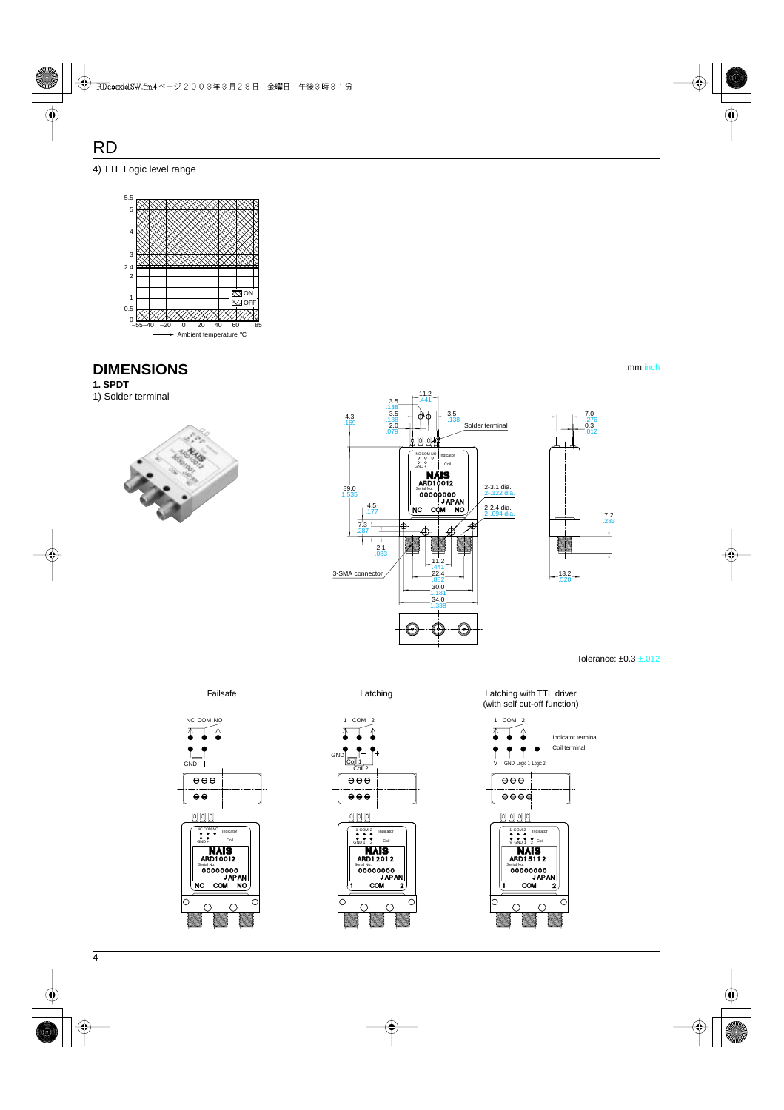#### 4) TTL Logic level range



### **DIMENSIONS**

**1. SPDT**

1) Solder terminal





mm inch

Tolerance: ±0.3 ±.012







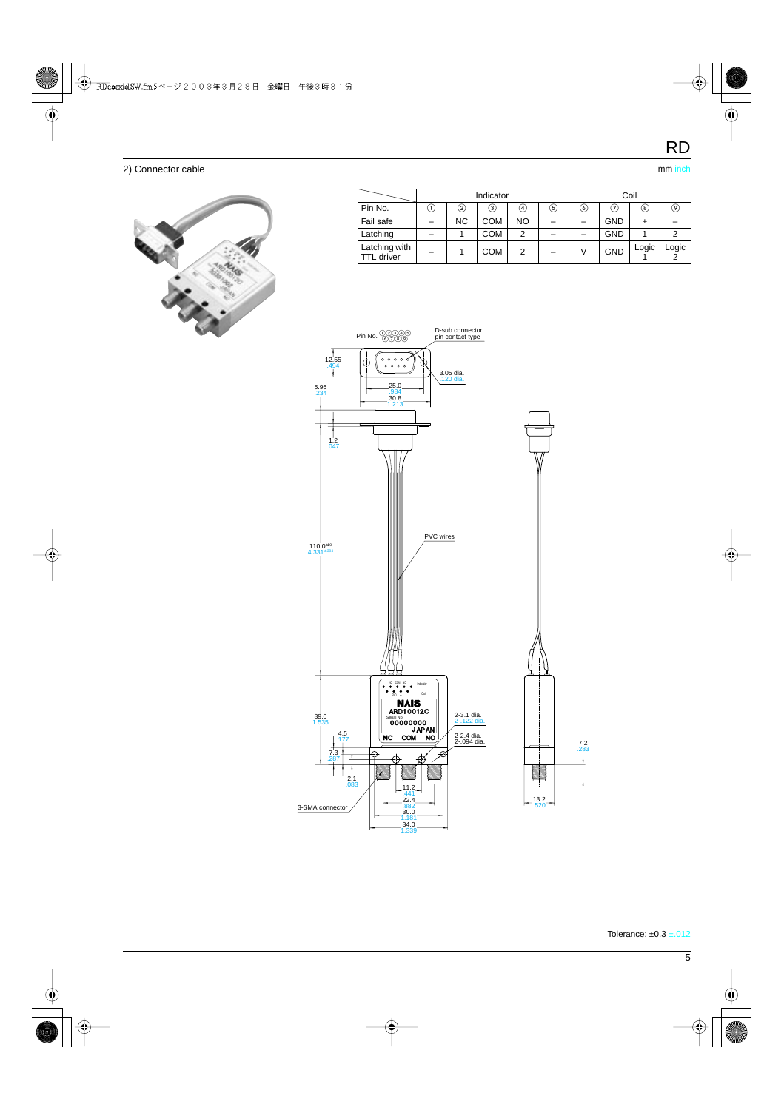#### 2) Connector cable mm inches and the matter of the matter of the mm inches mm inches mm inches mm inches and the mm inches mm inches and the mm inches mm inches and the method of the method of the method of the method of t



|                                    | Indicator |           |               |           | Coil |   |               |       |       |
|------------------------------------|-----------|-----------|---------------|-----------|------|---|---------------|-------|-------|
| Pin No.                            | U         | 2)        | $\circled{3}$ | ④         | 5)   | 6 | $\circled{7}$ | ⑧     | 9)    |
| Fail safe                          |           | <b>NC</b> | <b>COM</b>    | <b>NO</b> |      |   | <b>GND</b>    |       |       |
| Latching                           |           |           | COM           | 2         |      |   | <b>GND</b>    |       |       |
| Latching with<br><b>TTL</b> driver |           |           | <b>COM</b>    | 2         |      |   | <b>GND</b>    | Logic | Logic |

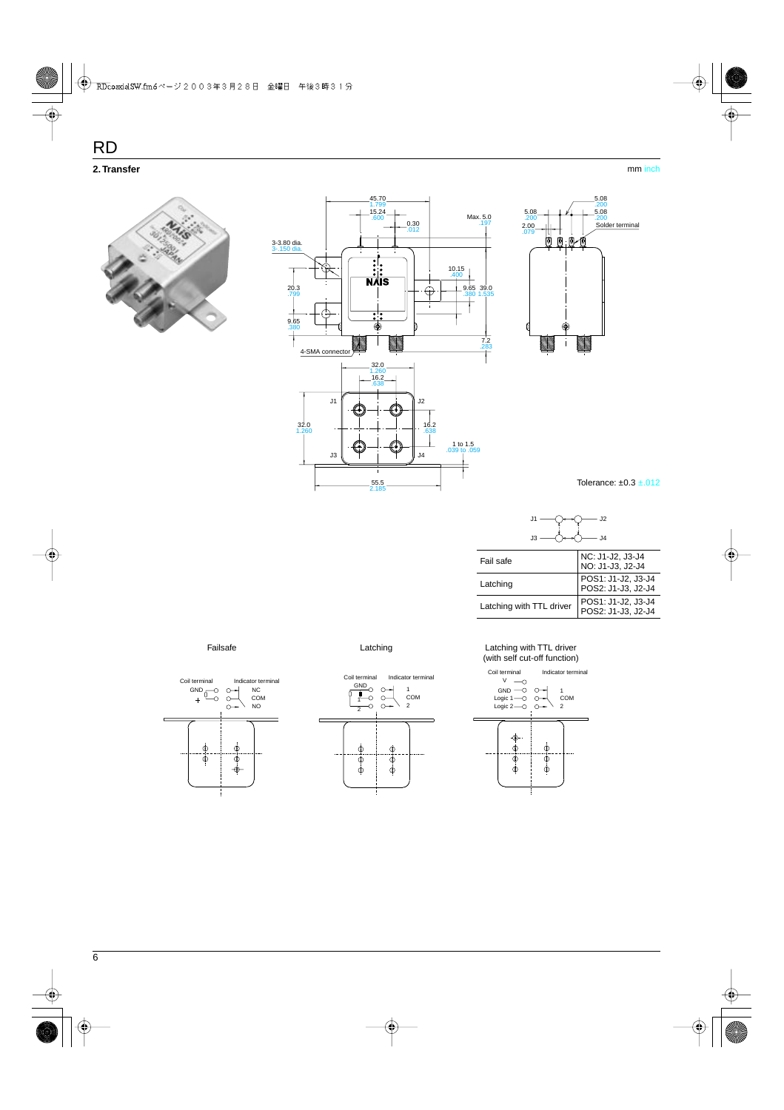5.08 .200 5.08 .200 Solder terminal







| J2.<br>J <sub>4</sub>    |                                          |
|--------------------------|------------------------------------------|
| Fail safe                | NC: J1-J2, J3-J4<br>NO: J1-J3, J2-J4     |
| Latching                 | POS1: J1-J2, J3-J4<br>POS2: J1-J3, J2-J4 |
| Latching with TTL driver | POS1: J1-J2, J3-J4<br>POS2: J1-J3. J2-J4 |





#### Failsafe **Example 2** Latching Latching Latching with TTL driver (with self cut-off function)

.079 5.08 .200

(0) 间

> € Ť

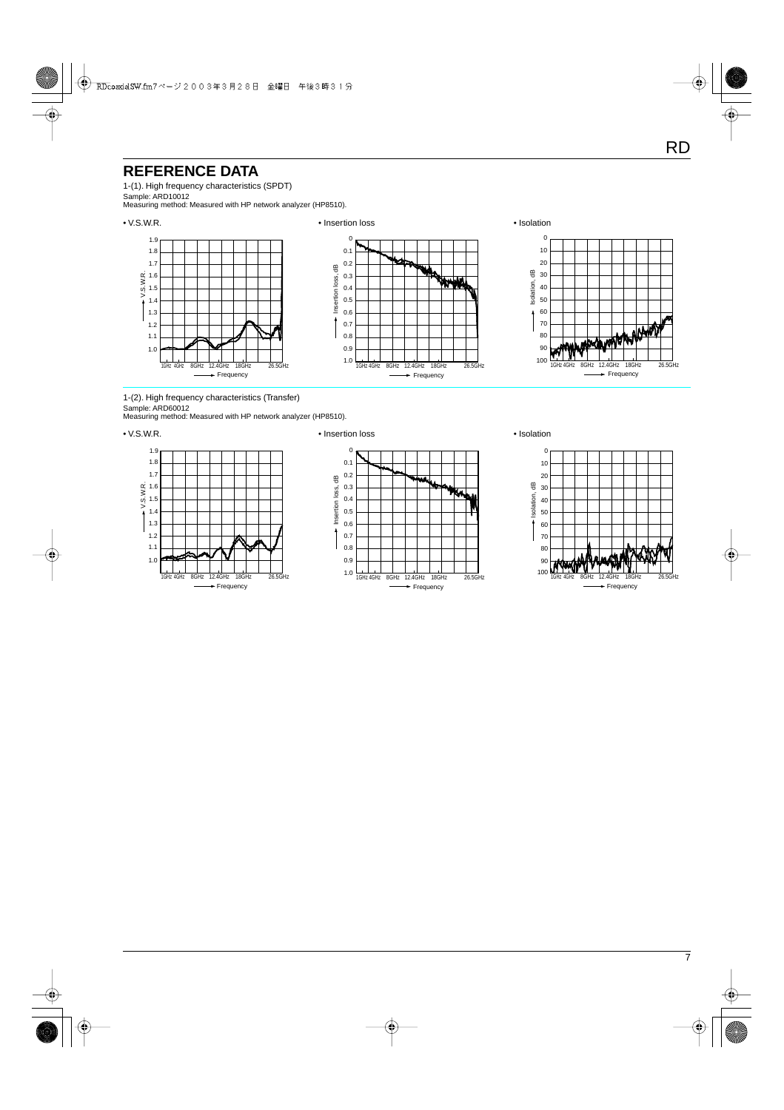### **REFERENCE DATA**

1-(1). High frequency characteristics (SPDT)

Sample: ARD10012 Measuring method: Measured with HP network analyzer (HP8510).



1-(2). High frequency characteristics (Transfer) Sample: ARD60012

Measuring method: Measured with HP network analyzer (HP8510).